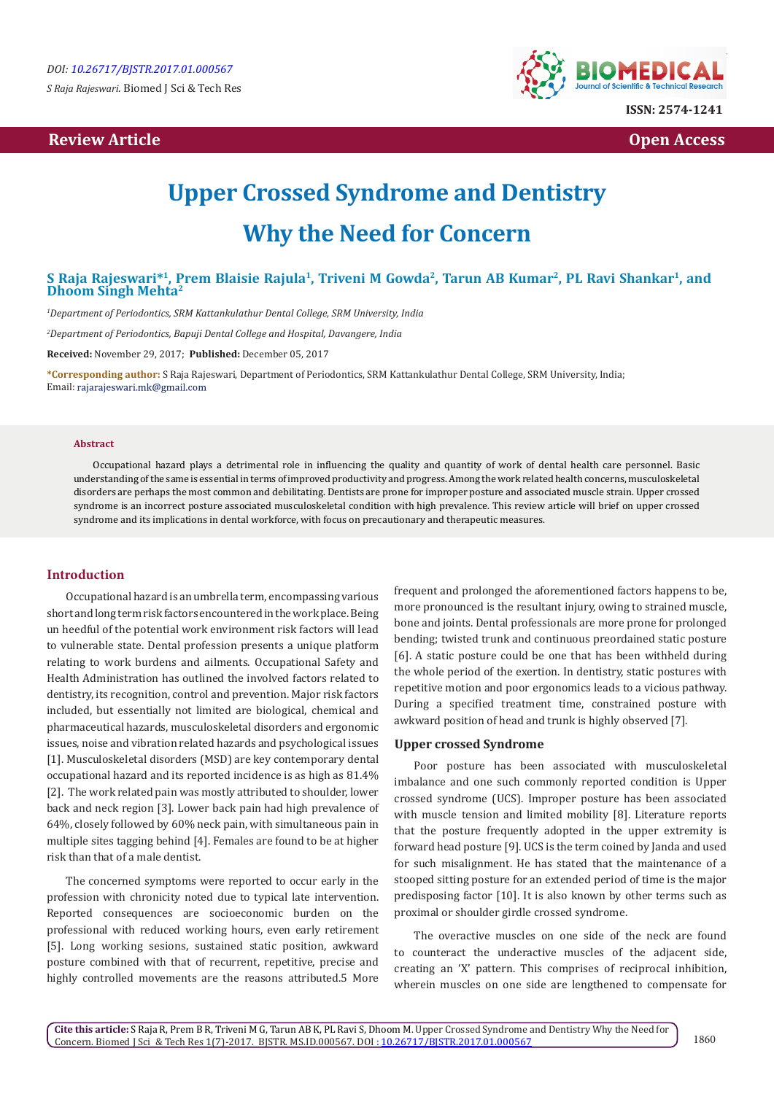*S Raja Rajeswari.* Biomed J Sci & Tech Res

## **Review Article Contract Contract Contract Contract Contract Contract Contract Contract Contract Contract Contract Contract Contract Contract Contract Contract Contract Contract Contract Contract Contract Contract Contract**



# **Upper Crossed Syndrome and Dentistry Why the Need for Concern**

### **S Raja Rajeswari\*1, Prem Blaisie Rajula1, Triveni M Gowda2, Tarun AB Kumar2, PL Ravi Shankar1, and Dhoom Singh Mehta2**

*1 Department of Periodontics, SRM Kattankulathur Dental College, SRM University, India*

*2 Department of Periodontics, Bapuji Dental College and Hospital, Davangere, India*

**Received:** November 29, 2017; **Published:** December 05, 2017

**\*Corresponding author:** S Raja Rajeswari, Department of Periodontics, SRM Kattankulathur Dental College, SRM University, India; Email: rajarajeswari.mk@gmail.com

#### **Abstract**

Occupational hazard plays a detrimental role in influencing the quality and quantity of work of dental health care personnel. Basic understanding of the same is essential in terms of improved productivity and progress. Among the work related health concerns, musculoskeletal disorders are perhaps the most common and debilitating. Dentists are prone for improper posture and associated muscle strain. Upper crossed syndrome is an incorrect posture associated musculoskeletal condition with high prevalence. This review article will brief on upper crossed syndrome and its implications in dental workforce, with focus on precautionary and therapeutic measures.

#### **Introduction**

Occupational hazard is an umbrella term, encompassing various short and long term risk factors encountered in the work place. Being un heedful of the potential work environment risk factors will lead to vulnerable state. Dental profession presents a unique platform relating to work burdens and ailments. Occupational Safety and Health Administration has outlined the involved factors related to dentistry, its recognition, control and prevention. Major risk factors included, but essentially not limited are biological, chemical and pharmaceutical hazards, musculoskeletal disorders and ergonomic issues, noise and vibration related hazards and psychological issues [1]. Musculoskeletal disorders (MSD) are key contemporary dental occupational hazard and its reported incidence is as high as 81.4% [2]. The work related pain was mostly attributed to shoulder, lower back and neck region [3]. Lower back pain had high prevalence of 64%, closely followed by 60% neck pain, with simultaneous pain in multiple sites tagging behind [4]. Females are found to be at higher risk than that of a male dentist.

The concerned symptoms were reported to occur early in the profession with chronicity noted due to typical late intervention. Reported consequences are socioeconomic burden on the professional with reduced working hours, even early retirement [5]. Long working sesions, sustained static position, awkward posture combined with that of recurrent, repetitive, precise and highly controlled movements are the reasons attributed.5 More

frequent and prolonged the aforementioned factors happens to be, more pronounced is the resultant injury, owing to strained muscle, bone and joints. Dental professionals are more prone for prolonged bending; twisted trunk and continuous preordained static posture [6]. A static posture could be one that has been withheld during the whole period of the exertion. In dentistry, static postures with repetitive motion and poor ergonomics leads to a vicious pathway. During a specified treatment time, constrained posture with awkward position of head and trunk is highly observed [7].

#### **Upper crossed Syndrome**

Poor posture has been associated with musculoskeletal imbalance and one such commonly reported condition is Upper crossed syndrome (UCS). Improper posture has been associated with muscle tension and limited mobility [8]. Literature reports that the posture frequently adopted in the upper extremity is forward head posture [9]. UCS is the term coined by Janda and used for such misalignment. He has stated that the maintenance of a stooped sitting posture for an extended period of time is the major predisposing factor [10]. It is also known by other terms such as proximal or shoulder girdle crossed syndrome.

The overactive muscles on one side of the neck are found to counteract the underactive muscles of the adjacent side, creating an 'X' pattern. This comprises of reciprocal inhibition, wherein muscles on one side are lengthened to compensate for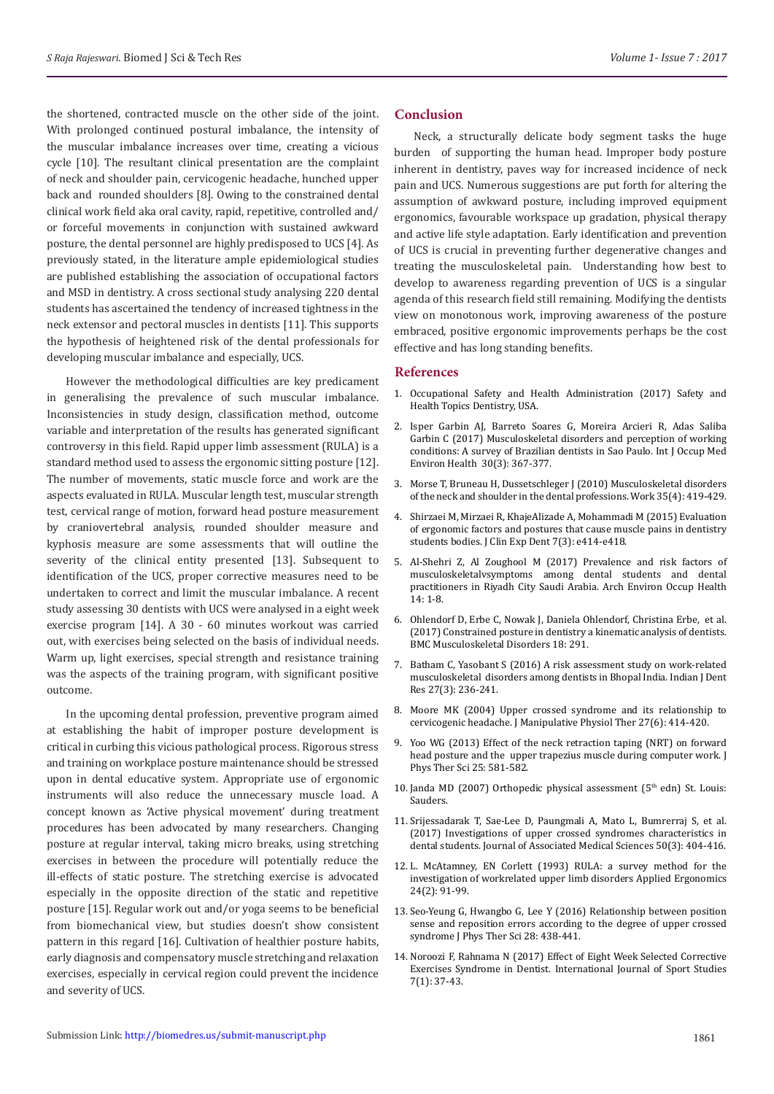the shortened, contracted muscle on the other side of the joint. With prolonged continued postural imbalance, the intensity of the muscular imbalance increases over time, creating a vicious cycle [10]. The resultant clinical presentation are the complaint of neck and shoulder pain, cervicogenic headache, hunched upper back and rounded shoulders [8]. Owing to the constrained dental clinical work field aka oral cavity, rapid, repetitive, controlled and/ or forceful movements in conjunction with sustained awkward posture, the dental personnel are highly predisposed to UCS [4]. As previously stated, in the literature ample epidemiological studies are published establishing the association of occupational factors and MSD in dentistry. A cross sectional study analysing 220 dental students has ascertained the tendency of increased tightness in the neck extensor and pectoral muscles in dentists [11]. This supports the hypothesis of heightened risk of the dental professionals for developing muscular imbalance and especially, UCS.

However the methodological difficulties are key predicament in generalising the prevalence of such muscular imbalance. Inconsistencies in study design, classification method, outcome variable and interpretation of the results has generated significant controversy in this field. Rapid upper limb assessment (RULA) is a standard method used to assess the ergonomic sitting posture [12]. The number of movements, static muscle force and work are the aspects evaluated in RULA. Muscular length test, muscular strength test, cervical range of motion, forward head posture measurement by craniovertebral analysis, rounded shoulder measure and kyphosis measure are some assessments that will outline the severity of the clinical entity presented [13]. Subsequent to identification of the UCS, proper corrective measures need to be undertaken to correct and limit the muscular imbalance. A recent study assessing 30 dentists with UCS were analysed in a eight week exercise program [14]. A 30 - 60 minutes workout was carried out, with exercises being selected on the basis of individual needs. Warm up, light exercises, special strength and resistance training was the aspects of the training program, with significant positive outcome.

In the upcoming dental profession, preventive program aimed at establishing the habit of improper posture development is critical in curbing this vicious pathological process. Rigorous stress and training on workplace posture maintenance should be stressed upon in dental educative system. Appropriate use of ergonomic instruments will also reduce the unnecessary muscle load. A concept known as 'Active physical movement' during treatment procedures has been advocated by many researchers. Changing posture at regular interval, taking micro breaks, using stretching exercises in between the procedure will potentially reduce the ill-effects of static posture. The stretching exercise is advocated especially in the opposite direction of the static and repetitive posture [15]. Regular work out and/or yoga seems to be beneficial from biomechanical view, but studies doesn't show consistent pattern in this regard [16]. Cultivation of healthier posture habits, early diagnosis and compensatory muscle stretching and relaxation exercises, especially in cervical region could prevent the incidence and severity of UCS.

#### **Conclusion**

Neck, a structurally delicate body segment tasks the huge burden of supporting the human head. Improper body posture inherent in dentistry, paves way for increased incidence of neck pain and UCS. Numerous suggestions are put forth for altering the assumption of awkward posture, including improved equipment ergonomics, favourable workspace up gradation, physical therapy and active life style adaptation. Early identification and prevention of UCS is crucial in preventing further degenerative changes and treating the musculoskeletal pain. Understanding how best to develop to awareness regarding prevention of UCS is a singular agenda of this research field still remaining. Modifying the dentists view on monotonous work, improving awareness of the posture embraced, positive ergonomic improvements perhaps be the cost effective and has long standing benefits.

#### **References**

- 1. [Occupational Safety and Health Administration \(2017\) Safety and](https://www.osha.gov/SLTC/dentistry/index.html) [Health Topics Dentistry, USA.](https://www.osha.gov/SLTC/dentistry/index.html)
- 2. [Isper Garbin AJ, Barreto Soares G, Moreira Arcieri R, Adas Saliba](https://www.ncbi.nlm.nih.gov/pubmed/28481371) [Garbin C \(2017\) Musculoskeletal disorders and perception of working](https://www.ncbi.nlm.nih.gov/pubmed/28481371) [conditions: A survey of Brazilian dentists in Sao Paulo. Int J Occup Med](https://www.ncbi.nlm.nih.gov/pubmed/28481371) [Environ Health 30\(3\): 367-377.](https://www.ncbi.nlm.nih.gov/pubmed/28481371)
- 3. [Morse T, Bruneau H, Dussetschleger J \(2010\) Musculoskeletal disorders](https://www.ncbi.nlm.nih.gov/pubmed/20448321) [of the neck and shoulder in the dental professions. Work 35\(4\): 419-429.](https://www.ncbi.nlm.nih.gov/pubmed/20448321)
- 4. [Shirzaei M, Mirzaei R, KhajeAlizade A, Mohammadi M \(2015\) Evaluation](https://www.ncbi.nlm.nih.gov/pubmed/26330941) [of ergonomic factors and postures that cause muscle pains in dentistry](https://www.ncbi.nlm.nih.gov/pubmed/26330941) [students bodies. J Clin Exp Dent 7\(3\): e414-e418.](https://www.ncbi.nlm.nih.gov/pubmed/26330941)
- 5. [Al-Shehri Z, Al Zoughool M \(2017\) Prevalence and risk factors of](https://www.ncbi.nlm.nih.gov/pubmed/28409663) [musculoskeletalvsymptoms among dental students and dental](https://www.ncbi.nlm.nih.gov/pubmed/28409663) [practitioners in Riyadh City Saudi Arabia. Arch Environ Occup Health](https://www.ncbi.nlm.nih.gov/pubmed/28409663) [14: 1-8.](https://www.ncbi.nlm.nih.gov/pubmed/28409663)
- 6. [Ohlendorf D, Erbe C, Nowak J, Daniela Ohlendorf, Christina Erbe, et al.](https://www.ncbi.nlm.nih.gov/pmc/articles/PMC5498999/) [\(2017\) Constrained posture in dentistry a kinematic analysis of dentists.](https://www.ncbi.nlm.nih.gov/pmc/articles/PMC5498999/) [BMC Musculoskeletal Disorders 18: 291.](https://www.ncbi.nlm.nih.gov/pmc/articles/PMC5498999/)
- 7. [Batham C, Yasobant S \(2016\) A risk assessment study on work-related](http://www.ijdr.in/article.asp?issn=0970-9290) [musculoskeletal disorders among dentists in Bhopal India. Indian J Dent](http://www.ijdr.in/article.asp?issn=0970-9290) [Res 27\(3\): 236-241.](http://www.ijdr.in/article.asp?issn=0970-9290)
- 8. [Moore MK \(2004\) Upper crossed syndrome and its relationship to](https://www.ncbi.nlm.nih.gov/pubmed/15319765) [cervicogenic headache. J Manipulative Physiol Ther 27\(6\): 414-420.](https://www.ncbi.nlm.nih.gov/pubmed/15319765)
- 9. [Yoo WG \(2013\) Effect of the neck retraction taping \(NRT\) on forward](https://www.ncbi.nlm.nih.gov/pmc/articles/PMC3804981/) [head posture and the upper trapezius muscle during computer work. J](https://www.ncbi.nlm.nih.gov/pmc/articles/PMC3804981/) [Phys Ther Sci 25: 581-582.](https://www.ncbi.nlm.nih.gov/pmc/articles/PMC3804981/)
- 10. [Janda MD \(2007\) Orthopedic physical assessment \(5](https://www.elsevier.com/books/orthopedic-physical-assessment/magee/978-0-7216-0571-5)<sup>th</sup> edn) St. Louis: [Sauders.](https://www.elsevier.com/books/orthopedic-physical-assessment/magee/978-0-7216-0571-5)
- 11. [Srijessadarak T, Sae-Lee D, Paungmali A, Mato L, Bumrerraj S, et al.](https://www.tci-thaijo.org/index.php/bulletinAMS/article/view/88218) [\(2017\) Investigations of upper crossed syndromes characteristics in](https://www.tci-thaijo.org/index.php/bulletinAMS/article/view/88218) [dental students. Journal of Associated Medical Sciences 50\(3\): 404-416.](https://www.tci-thaijo.org/index.php/bulletinAMS/article/view/88218)
- 12. [L. McAtamney, EN Corlett \(1993\) RULA: a survey method for the](https://www.ncbi.nlm.nih.gov/pubmed/15676903) [investigation of workrelated upper limb disorders Applied Ergonomics](https://www.ncbi.nlm.nih.gov/pubmed/15676903) [24\(2\): 91-99.](https://www.ncbi.nlm.nih.gov/pubmed/15676903)
- 13. [Seo-Yeung G, Hwangbo G, Lee Y \(2016\) Relationship between position](https://www.ncbi.nlm.nih.gov/pmc/articles/PMC4792986/) [sense and reposition errors according to the degree of upper crossed](https://www.ncbi.nlm.nih.gov/pmc/articles/PMC4792986/) [syndrome J Phys Ther Sci 28: 438-441.](https://www.ncbi.nlm.nih.gov/pmc/articles/PMC4792986/)
- 14. [Noroozi F, Rahnama N \(2017\) Effect of Eight Week Selected Corrective](http://ijssjournal.com/fulltext/paper-06052017070942.pdf) [Exercises Syndrome in Dentist. International Journal of Sport Studies](http://ijssjournal.com/fulltext/paper-06052017070942.pdf) [7\(1\): 37-43.](http://ijssjournal.com/fulltext/paper-06052017070942.pdf)